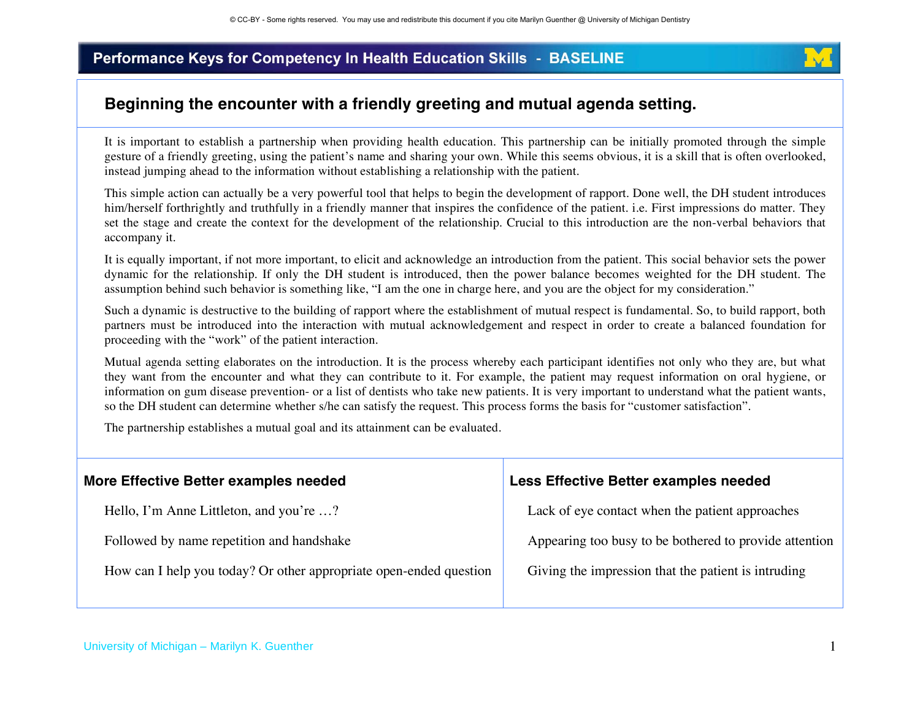

### **Beginning the encounter with a friendly greeting and mutual agenda setting.**

It is important to establish a partnership when providing health education. This partnership can be initially promoted through the simple gesture of a friendly greeting, using the patient's name and sharing your own. While this seems obvious, it is a skill that is often overlooked, instead jumping ahead to the information without establishing a relationship with the patient.

This simple action can actually be a very powerful tool that helps to begin the development of rapport. Done well, the DH student introduces him/herself forthrightly and truthfully in a friendly manner that inspires the confidence of the patient. i.e. First impressions do matter. They set the stage and create the context for the development of the relationship. Crucial to this introduction are the non-verbal behaviors that accompany it.

It is equally important, if not more important, to elicit and acknowledge an introduction from the patient. This social behavior sets the power dynamic for the relationship. If only the DH student is introduced, then the power balance becomes weighted for the DH student. The assumption behind such behavior is something like, "I am the one in charge here, and you are the object for my consideration."

Such a dynamic is destructive to the building of rapport where the establishment of mutual respect is fundamental. So, to build rapport, both partners must be introduced into the interaction with mutual acknowledgement and respect in order to create a balanced foundation for proceeding with the "work" of the patient interaction.

Mutual agenda setting elaborates on the introduction. It is the process whereby each participant identifies not only who they are, but what they want from the encounter and what they can contribute to it. For example, the patient may request information on oral hygiene, or information on gum disease prevention- or a list of dentists who take new patients. It is very important to understand what the patient wants, so the DH student can determine whether s/he can satisfy the request. This process forms the basis for "customer satisfaction".

The partnership establishes a mutual goal and its attainment can be evaluated.

| Less Effective Better examples needed                  |
|--------------------------------------------------------|
| Lack of eye contact when the patient approaches        |
| Appearing too busy to be bothered to provide attention |
| Giving the impression that the patient is intruding    |
|                                                        |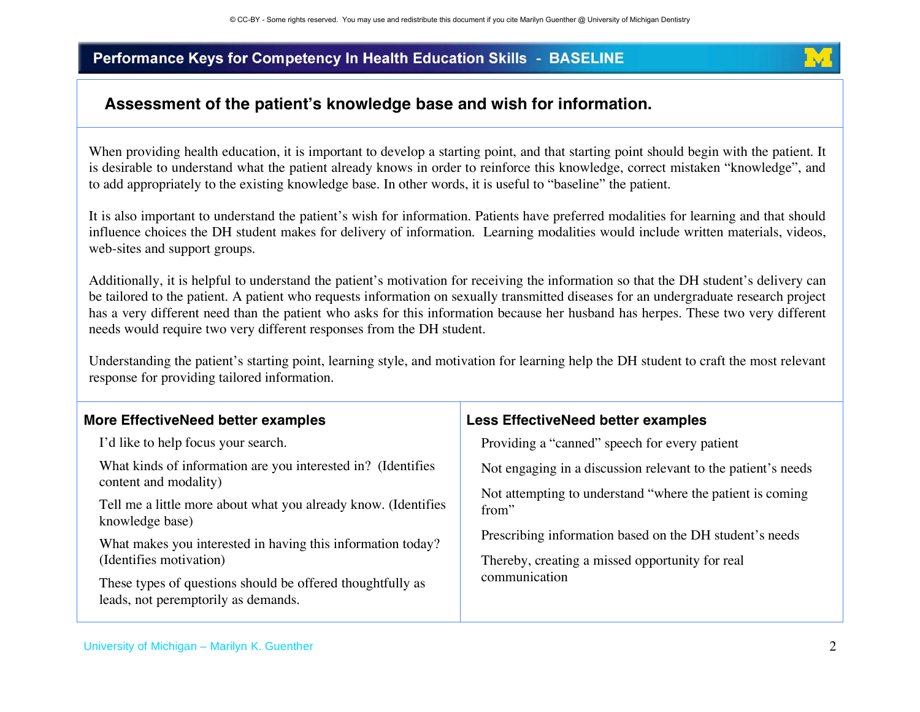

# **Assessment of the patients knowledge base and wish for information.**

When providing health education, it is important to develop a starting point, and that starting point should begin with the patient. It is desirable to understand what the patient already knows in order to reinforce this knowledge, correct mistaken "knowledge", and to add appropriately to the existing knowledge base. In other words, it is useful to "baseline" the patient.

It is also important to understand the patient's wish for information. Patients have preferred modalities for learning and that should influence choices the DH student makes for delivery of information. Learning modalities would include written materials, videos, web-sites and support groups.

Additionally, it is helpful to understand the patient's motivation for receiving the information so that the DH student's delivery can be tailored to the patient. A patient who requests information on sexually transmitted diseases for an undergraduate research project has a very different need than the patient who asks for this information because her husband has herpes. These two very different needs would require two very different responses from the DH student.

Understanding the patient's starting point, learning style, and motivation for learning help the DH student to craft the most relevant response for providing tailored information.

| <b>More EffectiveNeed better examples</b>                                                         | Less EffectiveNeed better examples                                                                                                                                                                |
|---------------------------------------------------------------------------------------------------|---------------------------------------------------------------------------------------------------------------------------------------------------------------------------------------------------|
| I'd like to help focus your search.                                                               | Providing a "canned" speech for every patient                                                                                                                                                     |
| What kinds of information are you interested in? (Identifies<br>content and modality)             | Not engaging in a discussion relevant to the patient's needs                                                                                                                                      |
| Tell me a little more about what you already know. (Identifies<br>knowledge base)                 | Not attempting to understand "where the patient is coming<br>from"<br>Prescribing information based on the DH student's needs<br>Thereby, creating a missed opportunity for real<br>communication |
| What makes you interested in having this information today?<br>(Identifies motivation)            |                                                                                                                                                                                                   |
| These types of questions should be offered thoughtfully as<br>leads, not peremptorily as demands. |                                                                                                                                                                                                   |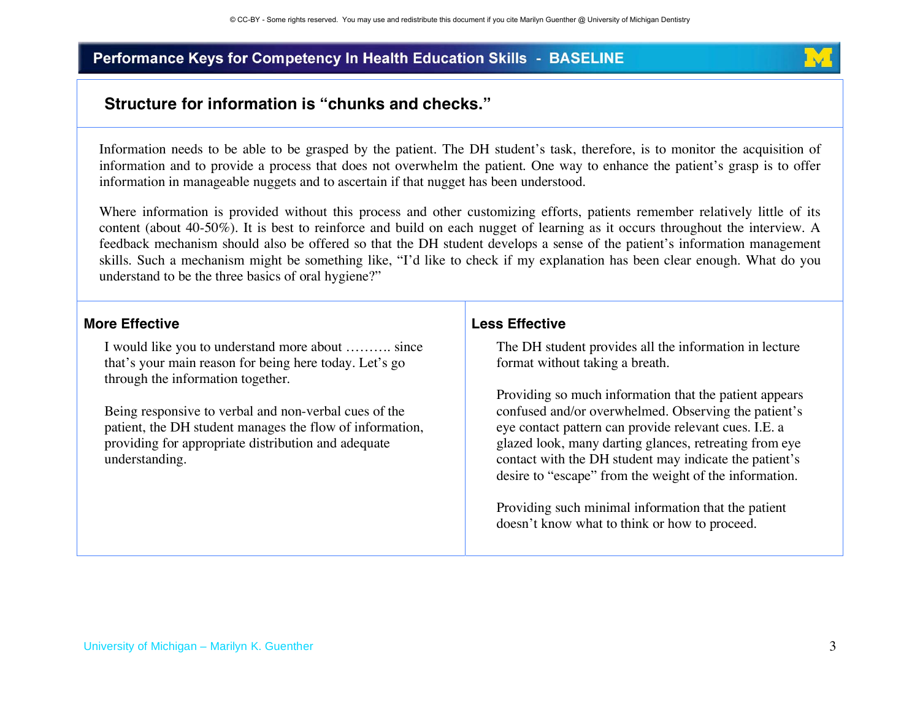

### **Structure for information is "chunks and checks."**

Information needs to be able to be grasped by the patient. The DH student's task, therefore, is to monitor the acquisition of information and to provide a process that does not overwhelm the patient. One way to enhance the patient's grasp is to offer information in manageable nuggets and to ascertain if that nugget has been understood.

Where information is provided without this process and other customizing efforts, patients remember relatively little of its content (about 40-50%). It is best to reinforce and build on each nugget of learning as it occurs throughout the interview. A feedback mechanism should also be offered so that the DH student develops a sense of the patient's information management skills. Such a mechanism might be something like, "I'd like to check if my explanation has been clear enough. What do you understand to be the three basics of oral hygiene?"

#### **More Effective**

I would like you to understand more about ………. since that's your main reason for being here today. Let's go through the information together.

Being responsive to verbal and non-verbal cues of the patient, the DH student manages the flow of information, providing for appropriate distribution and adequate understanding.

#### **Less Effective**

The DH student provides all the information in lecture format without taking a breath.

Providing so much information that the patient appears confused and/or overwhelmed. Observing the patient's eye contact pattern can provide relevant cues. I.E. a glazed look, many darting glances, retreating from eye contact with the DH student may indicate the patient's desire to "escape" from the weight of the information.

Providing such minimal information that the patient doesn't know what to think or how to proceed.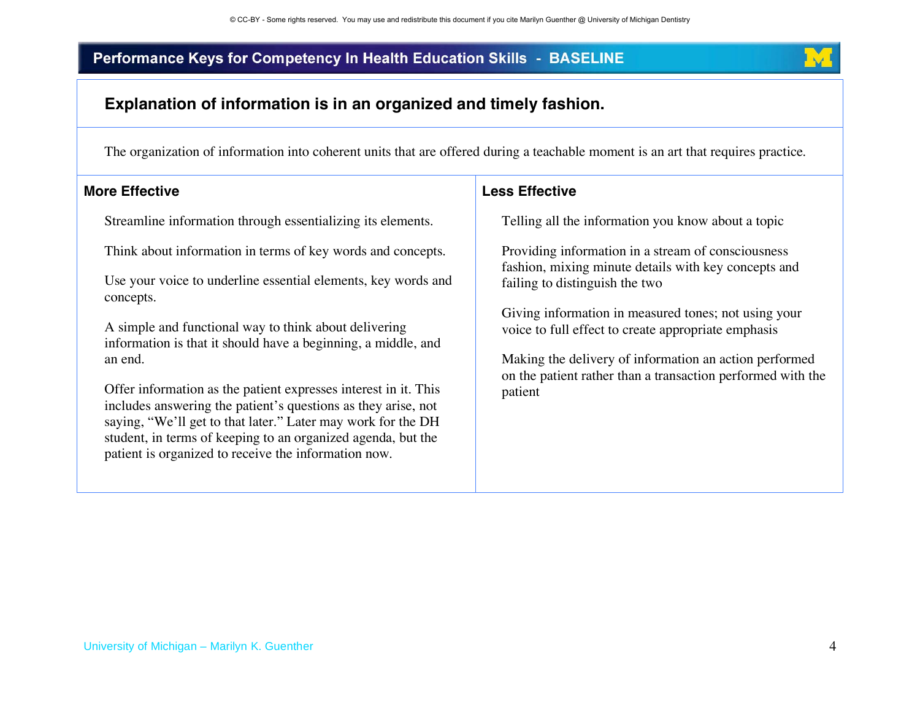

### **Explanation of information is in an organized and timely fashion.**

The organization of information into coherent units that are offered during a teachable moment is an art that requires practice.

#### **More Effective**

Streamline information through essentializing its elements.

Think about information in terms of key words and concepts.

Use your voice to underline essential elements, key words and concepts.

A simple and functional way to think about delivering information is that it should have a beginning, a middle, and an end.

Offer information as the patient expresses interest in it. This includes answering the patient's questions as they arise, not saying, "We'll get to that later." Later may work for the DH student, in terms of keeping to an organized agenda, but the patient is organized to receive the information now.

#### **Less Effective**

Telling all the information you know about a topic

Providing information in a stream of consciousness fashion, mixing minute details with key concepts and failing to distinguish the two

Giving information in measured tones; not using your voice to full effect to create appropriate emphasis

Making the delivery of information an action performed on the patient rather than a transaction performed with the patient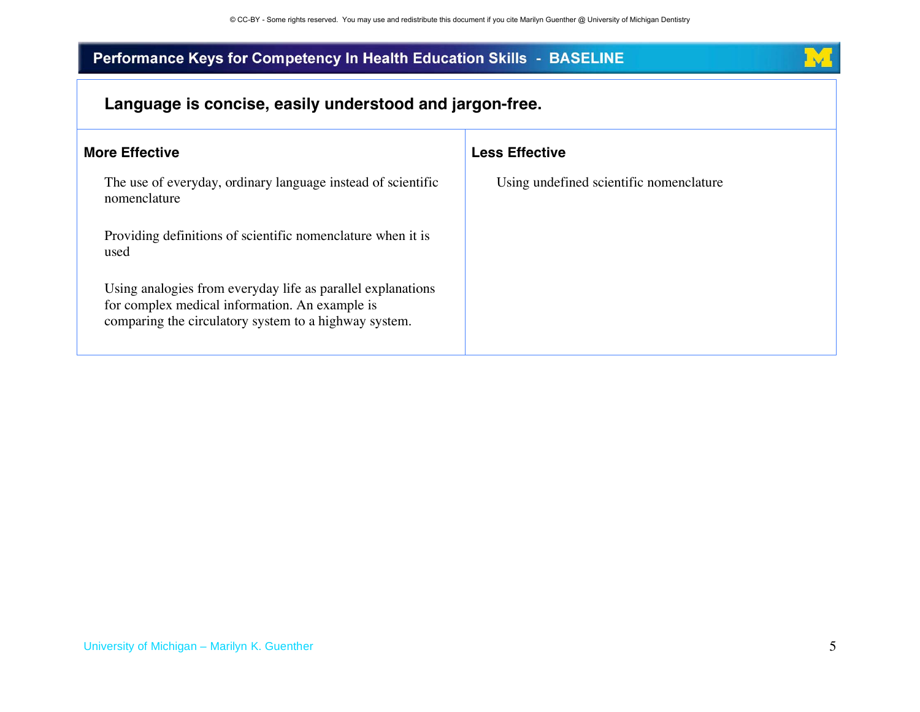

| Language is concise, easily understood and jargon-free.                                                                                                                |                                         |
|------------------------------------------------------------------------------------------------------------------------------------------------------------------------|-----------------------------------------|
| <b>More Effective</b>                                                                                                                                                  | <b>Less Effective</b>                   |
| The use of everyday, ordinary language instead of scientific<br>nomenclature                                                                                           | Using undefined scientific nomenclature |
| Providing definitions of scientific nomenclature when it is<br>used                                                                                                    |                                         |
| Using analogies from everyday life as parallel explanations<br>for complex medical information. An example is<br>comparing the circulatory system to a highway system. |                                         |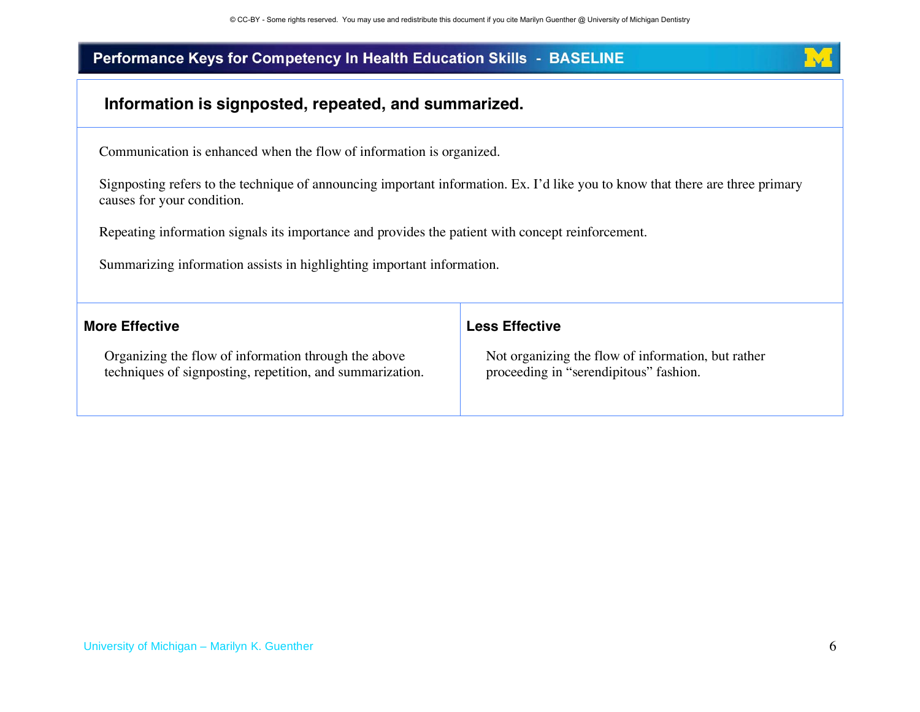

## **Information is signposted, repeated, and summarized.**

Communication is enhanced when the flow of information is organized.

Signposting refers to the technique of announcing important information. Ex. I'd like you to know that there are three primary causes for your condition.

Repeating information signals its importance and provides the patient with concept reinforcement.

Summarizing information assists in highlighting important information.

| <b>More Effective</b>                                     | <b>Less Effective</b>                              |
|-----------------------------------------------------------|----------------------------------------------------|
| Organizing the flow of information through the above      | Not organizing the flow of information, but rather |
| techniques of signposting, repetition, and summarization. | proceeding in "serendipitous" fashion.             |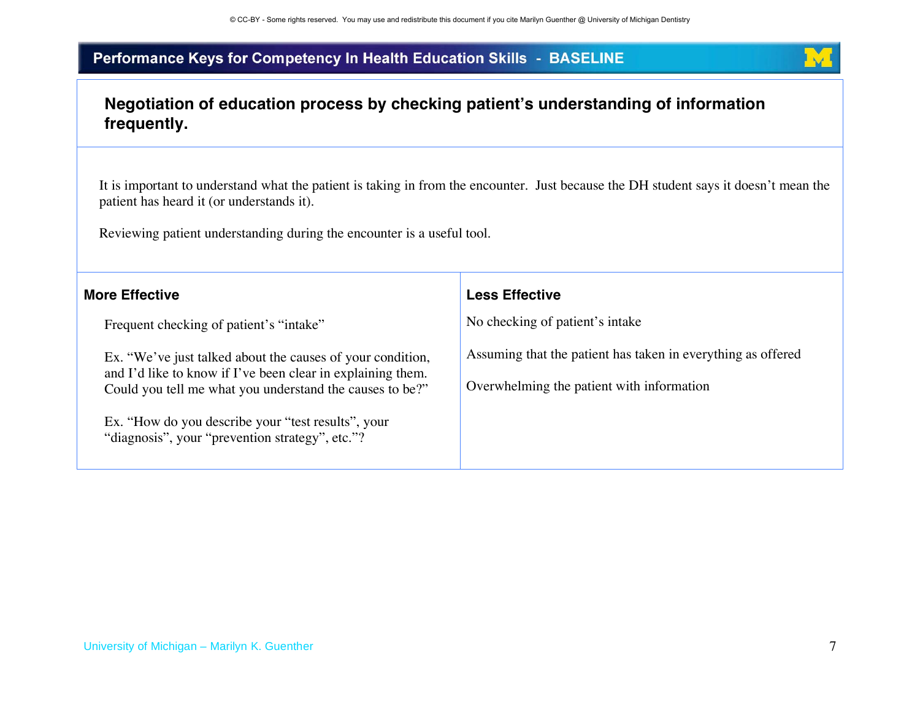

# **Negotiation of education process by checking patients understanding of information frequently.**

It is important to understand what the patient is taking in from the encounter. Just because the DH student says it doesn't mean the patient has heard it (or understands it).

Reviewing patient understanding during the encounter is a useful tool.

| <b>More Effective</b>                                                                                                                                                                                                                                                                          | <b>Less Effective</b>                                                                                     |
|------------------------------------------------------------------------------------------------------------------------------------------------------------------------------------------------------------------------------------------------------------------------------------------------|-----------------------------------------------------------------------------------------------------------|
| Frequent checking of patient's "intake"                                                                                                                                                                                                                                                        | No checking of patient's intake                                                                           |
| Ex. "We've just talked about the causes of your condition,<br>and I'd like to know if I've been clear in explaining them.<br>Could you tell me what you understand the causes to be?"<br>Ex. "How do you describe your "test results", your<br>"diagnosis", your "prevention strategy", etc."? | Assuming that the patient has taken in everything as offered<br>Overwhelming the patient with information |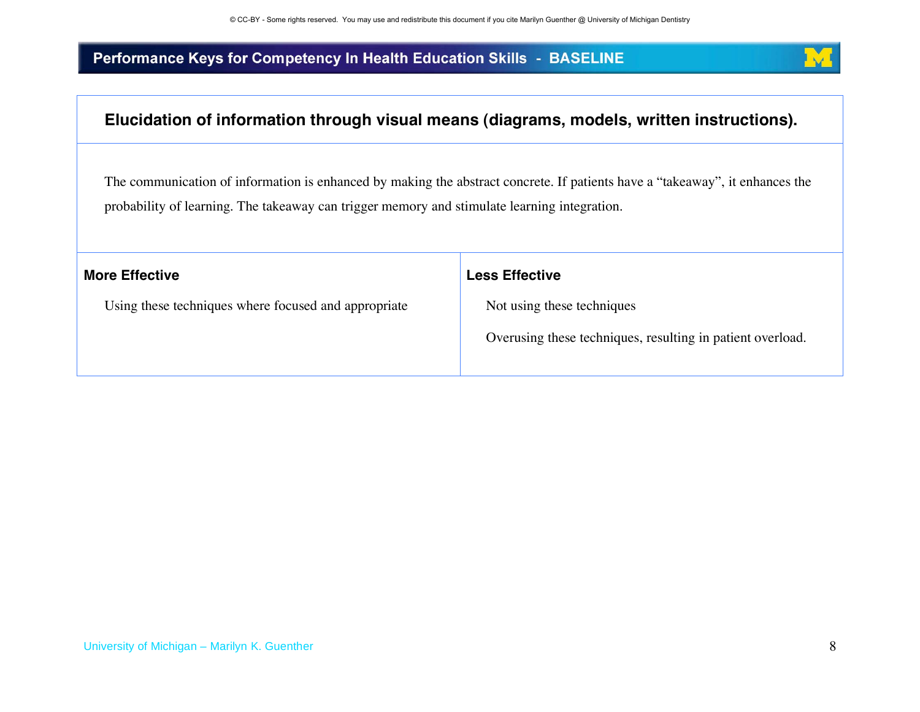

# **Elucidation of information through visual means (diagrams, models, written instructions).**

The communication of information is enhanced by making the abstract concrete. If patients have a "takeaway", it enhances the probability of learning. The takeaway can trigger memory and stimulate learning integration.

| <b>Less Effective</b>                                      |
|------------------------------------------------------------|
| Not using these techniques                                 |
| Overusing these techniques, resulting in patient overload. |
|                                                            |